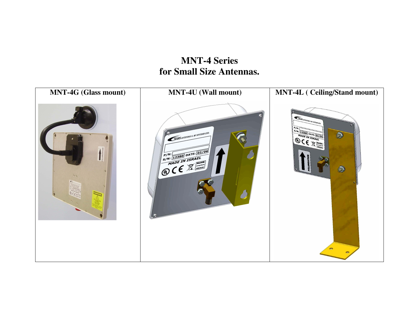## **MNT-4 Series for Small Size Antennas.**